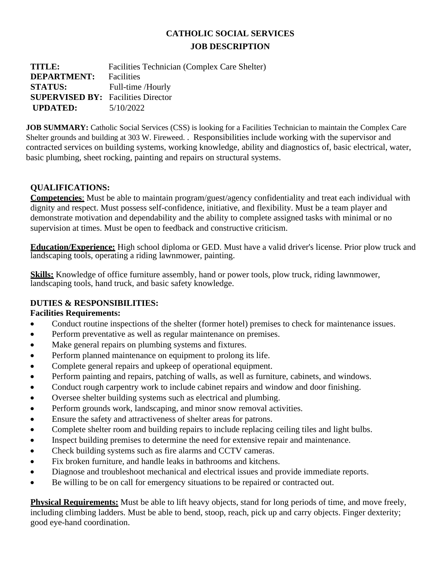## **CATHOLIC SOCIAL SERVICES JOB DESCRIPTION**

**TITLE:** Facilities Technician (Complex Care Shelter) **DEPARTMENT:** Facilities **STATUS:** Full-time /Hourly **SUPERVISED BY:** Facilities Director **UPDATED:** 5/10/2022

**JOB SUMMARY:** Catholic Social Services (CSS) is looking for a Facilities Technician to maintain the Complex Care Shelter grounds and building at 303 W. Fireweed. . Responsibilities include working with the supervisor and contracted services on building systems, working knowledge, ability and diagnostics of, basic electrical, water, basic plumbing, sheet rocking, painting and repairs on structural systems.

## **QUALIFICATIONS:**

**Competencies**: Must be able to maintain program/guest/agency confidentiality and treat each individual with dignity and respect. Must possess self-confidence, initiative, and flexibility. Must be a team player and demonstrate motivation and dependability and the ability to complete assigned tasks with minimal or no supervision at times. Must be open to feedback and constructive criticism.

**Education/Experience:** High school diploma or GED. Must have a valid driver's license. Prior plow truck and landscaping tools, operating a riding lawnmower, painting.

**Skills:** Knowledge of office furniture assembly, hand or power tools, plow truck, riding lawnmower, landscaping tools, hand truck, and basic safety knowledge.

## **DUTIES & RESPONSIBILITIES:**

## **Facilities Requirements:**

- Conduct routine inspections of the shelter (former hotel) premises to check for maintenance issues.
- Perform preventative as well as regular maintenance on premises.
- Make general repairs on plumbing systems and fixtures.
- Perform planned maintenance on equipment to prolong its life.
- Complete general repairs and upkeep of operational equipment.
- Perform painting and repairs, patching of walls, as well as furniture, cabinets, and windows.
- Conduct rough carpentry work to include cabinet repairs and window and door finishing.
- Oversee shelter building systems such as electrical and plumbing.
- Perform grounds work, landscaping, and minor snow removal activities.
- Ensure the safety and attractiveness of shelter areas for patrons.
- Complete shelter room and building repairs to include replacing ceiling tiles and light bulbs.
- Inspect building premises to determine the need for extensive repair and maintenance.
- Check building systems such as fire alarms and CCTV cameras.
- Fix broken furniture, and handle leaks in bathrooms and kitchens.
- Diagnose and troubleshoot mechanical and electrical issues and provide immediate reports.
- Be willing to be on call for emergency situations to be repaired or contracted out.

**Physical Requirements:** Must be able to lift heavy objects, stand for long periods of time, and move freely, including climbing ladders. Must be able to bend, stoop, reach, pick up and carry objects. Finger dexterity; good eye-hand coordination.